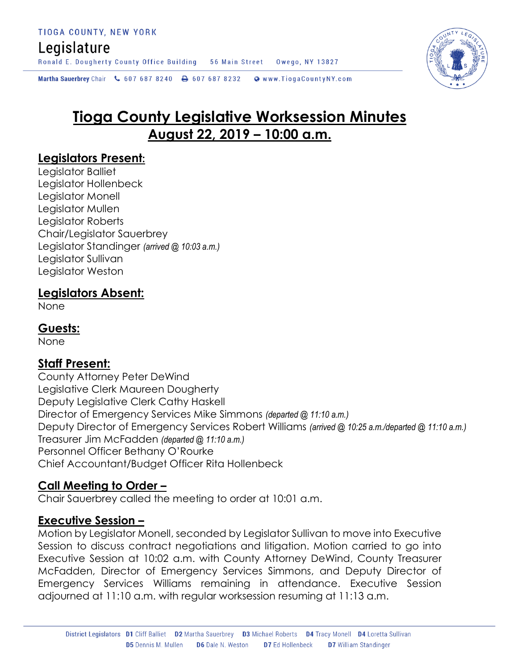# Legislature

Ronald E. Dougherty County Office Building 56 Main Street Owego, NY 13827

Martha Sauerbrey Chair & 607 687 8240 <a>B</a>607 687 8232 <a>B</a>Www.TiogaCountyNY.com

# **Tioga County Legislative Worksession Minutes August 22, 2019 – 10:00 a.m.**

# **Legislators Present:**

Legislator Balliet Legislator Hollenbeck Legislator Monell Legislator Mullen Legislator Roberts Chair/Legislator Sauerbrey Legislator Standinger *(arrived @ 10:03 a.m.)* Legislator Sullivan Legislator Weston

# **Legislators Absent:**

None

### **Guests:**

None

# **Staff Present:**

County Attorney Peter DeWind Legislative Clerk Maureen Dougherty Deputy Legislative Clerk Cathy Haskell Director of Emergency Services Mike Simmons *(departed @ 11:10 a.m.)* Deputy Director of Emergency Services Robert Williams *(arrived @ 10:25 a.m./departed @ 11:10 a.m.)* Treasurer Jim McFadden *(departed @ 11:10 a.m.)* Personnel Officer Bethany O'Rourke Chief Accountant/Budget Officer Rita Hollenbeck

# **Call Meeting to Order –**

Chair Sauerbrey called the meeting to order at 10:01 a.m.

#### **Executive Session –**

Motion by Legislator Monell, seconded by Legislator Sullivan to move into Executive Session to discuss contract negotiations and litigation. Motion carried to go into Executive Session at 10:02 a.m. with County Attorney DeWind, County Treasurer McFadden, Director of Emergency Services Simmons, and Deputy Director of Emergency Services Williams remaining in attendance. Executive Session adjourned at 11:10 a.m. with regular worksession resuming at 11:13 a.m.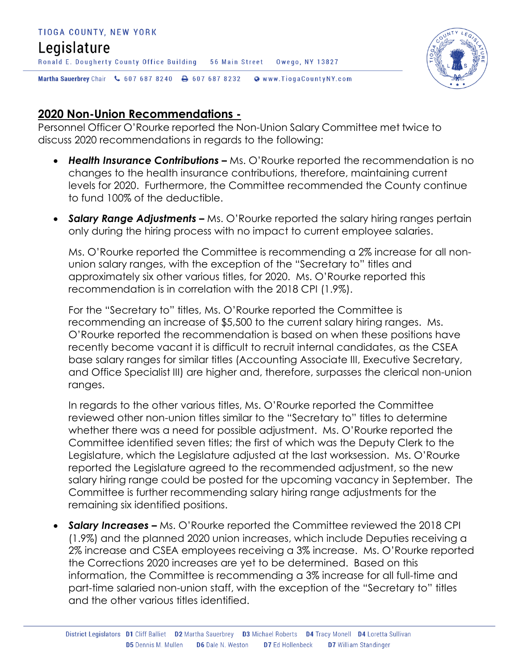

# **2020 Non-Union Recommendations -**

Personnel Officer O'Rourke reported the Non-Union Salary Committee met twice to discuss 2020 recommendations in regards to the following:

- Health Insurance Contributions Ms. O'Rourke reported the recommendation is no changes to the health insurance contributions, therefore, maintaining current levels for 2020. Furthermore, the Committee recommended the County continue to fund 100% of the deductible.
- **Salary Range Adjustments –** Ms. O'Rourke reported the salary hiring ranges pertain only during the hiring process with no impact to current employee salaries.

Ms. O'Rourke reported the Committee is recommending a 2% increase for all nonunion salary ranges, with the exception of the "Secretary to" titles and approximately six other various titles, for 2020. Ms. O'Rourke reported this recommendation is in correlation with the 2018 CPI (1.9%).

For the "Secretary to" titles, Ms. O'Rourke reported the Committee is recommending an increase of \$5,500 to the current salary hiring ranges. Ms. O'Rourke reported the recommendation is based on when these positions have recently become vacant it is difficult to recruit internal candidates, as the CSEA base salary ranges for similar titles (Accounting Associate III, Executive Secretary, and Office Specialist III) are higher and, therefore, surpasses the clerical non-union ranges.

In regards to the other various titles, Ms. O'Rourke reported the Committee reviewed other non-union titles similar to the "Secretary to" titles to determine whether there was a need for possible adjustment. Ms. O'Rourke reported the Committee identified seven titles; the first of which was the Deputy Clerk to the Legislature, which the Legislature adjusted at the last worksession. Ms. O'Rourke reported the Legislature agreed to the recommended adjustment, so the new salary hiring range could be posted for the upcoming vacancy in September. The Committee is further recommending salary hiring range adjustments for the remaining six identified positions.

• **Salary Increases –** Ms. O'Rourke reported the Committee reviewed the 2018 CPI (1.9%) and the planned 2020 union increases, which include Deputies receiving a 2% increase and CSEA employees receiving a 3% increase. Ms. O'Rourke reported the Corrections 2020 increases are yet to be determined. Based on this information, the Committee is recommending a 3% increase for all full-time and part-time salaried non-union staff, with the exception of the "Secretary to" titles and the other various titles identified.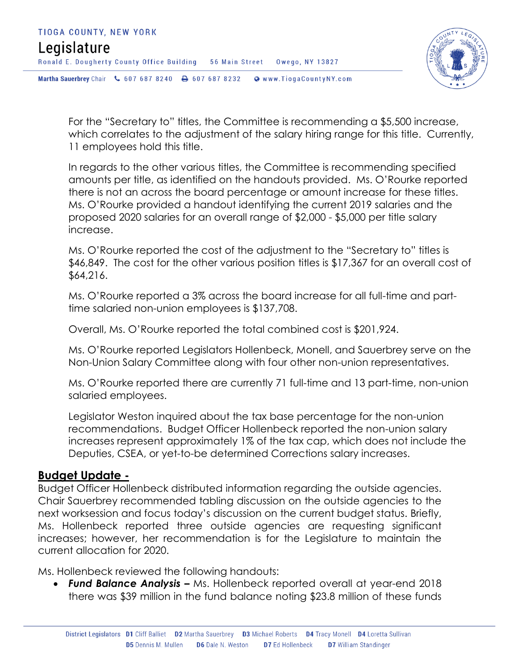

For the "Secretary to" titles, the Committee is recommending a \$5,500 increase, which correlates to the adjustment of the salary hiring range for this title. Currently, 11 employees hold this title.

In regards to the other various titles, the Committee is recommending specified amounts per title, as identified on the handouts provided. Ms. O'Rourke reported there is not an across the board percentage or amount increase for these titles. Ms. O'Rourke provided a handout identifying the current 2019 salaries and the proposed 2020 salaries for an overall range of \$2,000 - \$5,000 per title salary increase.

Ms. O'Rourke reported the cost of the adjustment to the "Secretary to" titles is \$46,849. The cost for the other various position titles is \$17,367 for an overall cost of \$64,216.

Ms. O'Rourke reported a 3% across the board increase for all full-time and parttime salaried non-union employees is \$137,708.

Overall, Ms. O'Rourke reported the total combined cost is \$201,924.

Ms. O'Rourke reported Legislators Hollenbeck, Monell, and Sauerbrey serve on the Non-Union Salary Committee along with four other non-union representatives.

Ms. O'Rourke reported there are currently 71 full-time and 13 part-time, non-union salaried employees.

Legislator Weston inquired about the tax base percentage for the non-union recommendations. Budget Officer Hollenbeck reported the non-union salary increases represent approximately 1% of the tax cap, which does not include the Deputies, CSEA, or yet-to-be determined Corrections salary increases.

#### **Budget Update -**

Budget Officer Hollenbeck distributed information regarding the outside agencies. Chair Sauerbrey recommended tabling discussion on the outside agencies to the next worksession and focus today's discussion on the current budget status. Briefly, Ms. Hollenbeck reported three outside agencies are requesting significant increases; however, her recommendation is for the Legislature to maintain the current allocation for 2020.

Ms. Hollenbeck reviewed the following handouts:

 *Fund Balance Analysis –* Ms. Hollenbeck reported overall at year-end 2018 there was \$39 million in the fund balance noting \$23.8 million of these funds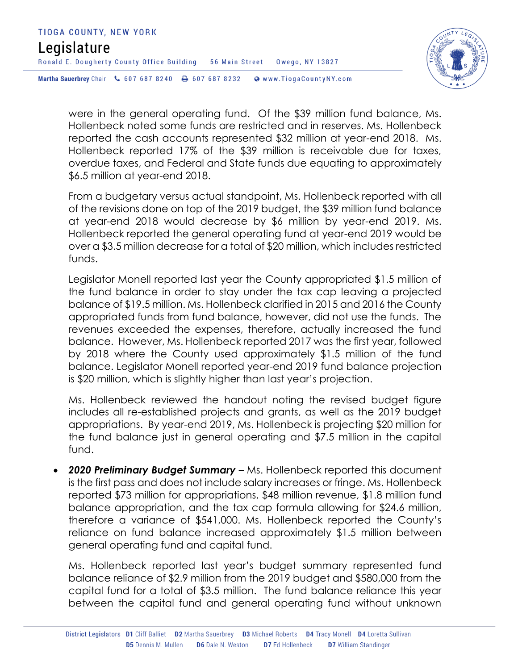



were in the general operating fund. Of the \$39 million fund balance, Ms. Hollenbeck noted some funds are restricted and in reserves. Ms. Hollenbeck reported the cash accounts represented \$32 million at year-end 2018. Ms. Hollenbeck reported 17% of the \$39 million is receivable due for taxes, overdue taxes, and Federal and State funds due equating to approximately \$6.5 million at year-end 2018.

From a budgetary versus actual standpoint, Ms. Hollenbeck reported with all of the revisions done on top of the 2019 budget, the \$39 million fund balance at year-end 2018 would decrease by \$6 million by year-end 2019. Ms. Hollenbeck reported the general operating fund at year-end 2019 would be over a \$3.5 million decrease for a total of \$20 million, which includes restricted funds.

Legislator Monell reported last year the County appropriated \$1.5 million of the fund balance in order to stay under the tax cap leaving a projected balance of \$19.5 million. Ms. Hollenbeck clarified in 2015 and 2016 the County appropriated funds from fund balance, however, did not use the funds. The revenues exceeded the expenses, therefore, actually increased the fund balance. However, Ms. Hollenbeck reported 2017 was the first year, followed by 2018 where the County used approximately \$1.5 million of the fund balance. Legislator Monell reported year-end 2019 fund balance projection is \$20 million, which is slightly higher than last year's projection.

Ms. Hollenbeck reviewed the handout noting the revised budget figure includes all re-established projects and grants, as well as the 2019 budget appropriations. By year-end 2019, Ms. Hollenbeck is projecting \$20 million for the fund balance just in general operating and \$7.5 million in the capital fund.

 *2020 Preliminary Budget Summary –* Ms. Hollenbeck reported this document is the first pass and does not include salary increases or fringe. Ms. Hollenbeck reported \$73 million for appropriations, \$48 million revenue, \$1.8 million fund balance appropriation, and the tax cap formula allowing for \$24.6 million, therefore a variance of \$541,000. Ms. Hollenbeck reported the County's reliance on fund balance increased approximately \$1.5 million between general operating fund and capital fund.

Ms. Hollenbeck reported last year's budget summary represented fund balance reliance of \$2.9 million from the 2019 budget and \$580,000 from the capital fund for a total of \$3.5 million. The fund balance reliance this year between the capital fund and general operating fund without unknown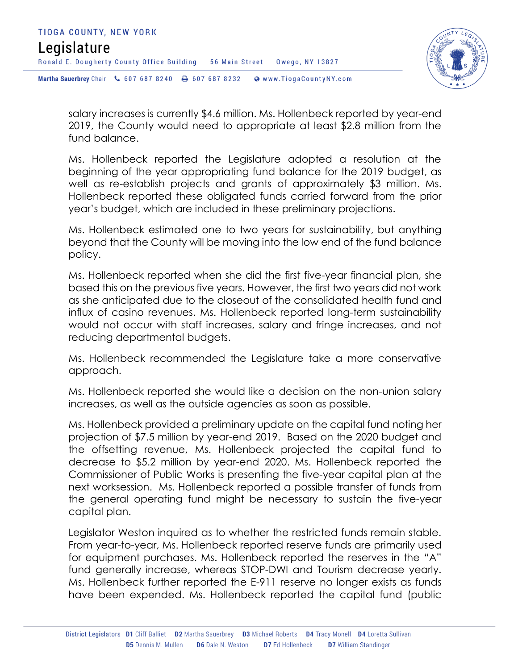

salary increases is currently \$4.6 million. Ms. Hollenbeck reported by year-end 2019, the County would need to appropriate at least \$2.8 million from the fund balance.

Ms. Hollenbeck reported the Legislature adopted a resolution at the beginning of the year appropriating fund balance for the 2019 budget, as well as re-establish projects and grants of approximately \$3 million. Ms. Hollenbeck reported these obligated funds carried forward from the prior year's budget, which are included in these preliminary projections.

Ms. Hollenbeck estimated one to two years for sustainability, but anything beyond that the County will be moving into the low end of the fund balance policy.

Ms. Hollenbeck reported when she did the first five-year financial plan, she based this on the previous five years. However, the first two years did not work as she anticipated due to the closeout of the consolidated health fund and influx of casino revenues. Ms. Hollenbeck reported long-term sustainability would not occur with staff increases, salary and fringe increases, and not reducing departmental budgets.

Ms. Hollenbeck recommended the Legislature take a more conservative approach.

Ms. Hollenbeck reported she would like a decision on the non-union salary increases, as well as the outside agencies as soon as possible.

Ms. Hollenbeck provided a preliminary update on the capital fund noting her projection of \$7.5 million by year-end 2019. Based on the 2020 budget and the offsetting revenue, Ms. Hollenbeck projected the capital fund to decrease to \$5.2 million by year-end 2020. Ms. Hollenbeck reported the Commissioner of Public Works is presenting the five-year capital plan at the next worksession. Ms. Hollenbeck reported a possible transfer of funds from the general operating fund might be necessary to sustain the five-year capital plan.

Legislator Weston inquired as to whether the restricted funds remain stable. From year-to-year, Ms. Hollenbeck reported reserve funds are primarily used for equipment purchases. Ms. Hollenbeck reported the reserves in the "A" fund generally increase, whereas STOP-DWI and Tourism decrease yearly. Ms. Hollenbeck further reported the E-911 reserve no longer exists as funds have been expended. Ms. Hollenbeck reported the capital fund (public